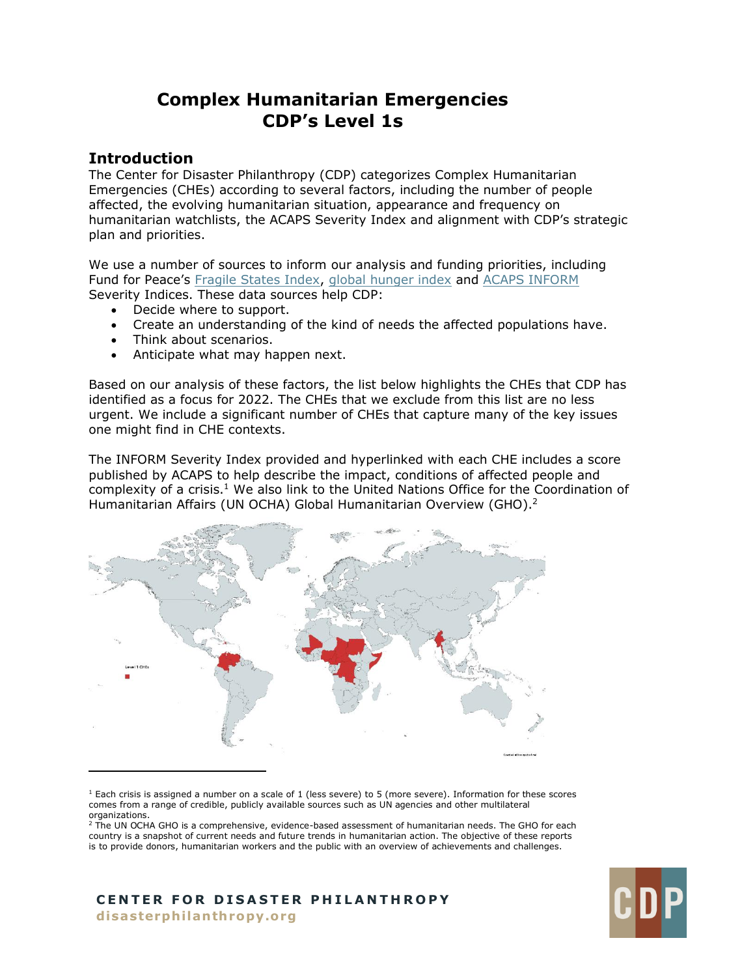# **Complex Humanitarian Emergencies CDP's Level 1s**

# **Introduction**

The Center for Disaster Philanthropy (CDP) categorizes Complex Humanitarian Emergencies (CHEs) according to several factors, including the number of people affected, the evolving humanitarian situation, appearance and frequency on humanitarian watchlists, the ACAPS Severity Index and alignment with CDP's strategic plan and priorities.

We use a number of sources to inform our analysis and funding priorities, including Fund for Peace's [Fragile States Index,](https://fragilestatesindex.org/) [global hunger index](https://www.globalhungerindex.org/) and [ACAPS INFORM](https://www.acaps.org/methodology/severity) Severity Indices. These data sources help CDP:

- Decide where to support.
- Create an understanding of the kind of needs the affected populations have.
- Think about scenarios.
- Anticipate what may happen next.

Based on our analysis of these factors, the list below highlights the CHEs that CDP has identified as a focus for 2022. The CHEs that we exclude from this list are no less urgent. We include a significant number of CHEs that capture many of the key issues one might find in CHE contexts.

The INFORM Severity Index provided and hyperlinked with each CHE includes a score published by ACAPS to help describe the impact, conditions of affected people and complexity of a crisis.<sup>1</sup> We also link to the United Nations Office for the Coordination of Humanitarian Affairs (UN OCHA) Global Humanitarian Overview (GHO).<sup>2</sup>



 $<sup>1</sup>$  Each crisis is assigned a number on a scale of 1 (less severe) to 5 (more severe). Information for these scores</sup> comes from a range of credible, publicly available sources such as UN agencies and other multilateral organizations.

<sup>2</sup> The UN OCHA GHO is a comprehensive, evidence-based assessment of humanitarian needs. The GHO for each country is a snapshot of current needs and future trends in humanitarian action. The objective of these reports is to provide donors, humanitarian workers and the public with an overview of achievements and challenges.

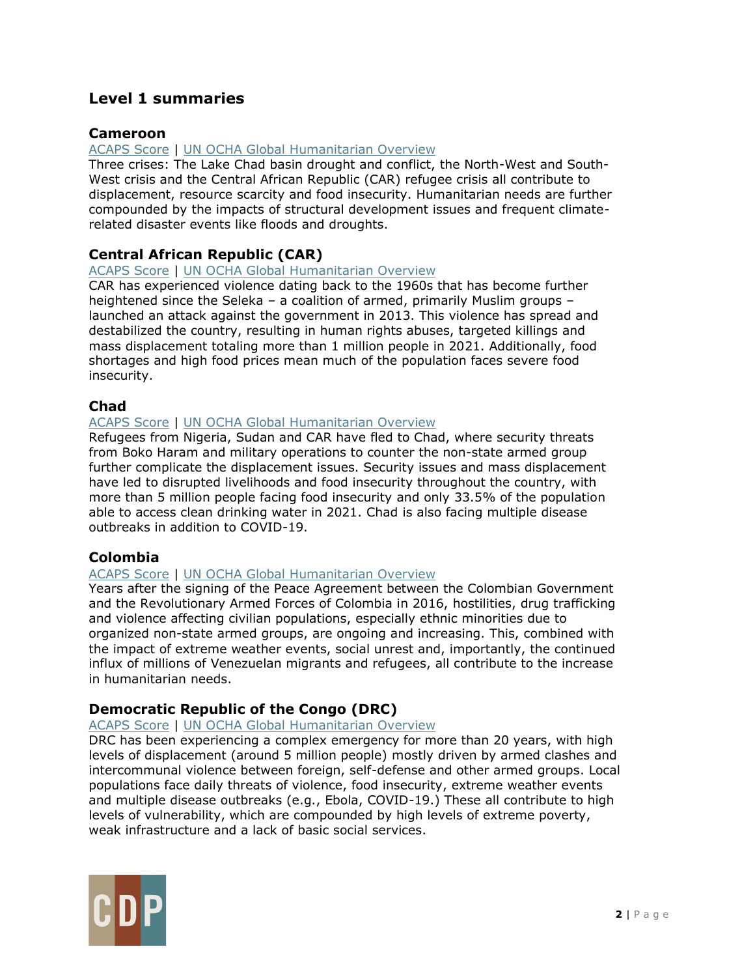# **Level 1 summaries**

# **Cameroon**

### [ACAPS Score](https://www.acaps.org/country/cameroon/crisis/country-level) | [UN OCHA Global Humanitarian Overview](https://gho.unocha.org/cameroon)

Three crises: The Lake Chad basin drought and conflict, the North-West and South-West crisis and the Central African Republic (CAR) refugee crisis all contribute to displacement, resource scarcity and food insecurity. Humanitarian needs are further compounded by the impacts of structural development issues and frequent climaterelated disaster events like floods and droughts.

# **Central African Republic (CAR)**

### [ACAPS Score](https://www.acaps.org/country/car/crisis/complex-crisis) | [UN OCHA Global Humanitarian Overview](https://gho.unocha.org/central-african-republic)

CAR has experienced violence dating back to the 1960s that has become further heightened since the Seleka – a coalition of armed, primarily Muslim groups – launched an attack against the government in 2013. This violence has spread and destabilized the country, resulting in human rights abuses, targeted killings and mass displacement totaling more than 1 million people in 2021. Additionally, food shortages and high food prices mean much of the population faces severe food insecurity.

# **Chad**

### [ACAPS Score](https://www.acaps.org/country/chad/crisis/complex-crisis) | [UN OCHA Global Humanitarian Overview](https://gho.unocha.org/chad)

Refugees from Nigeria, Sudan and CAR have fled to Chad, where security threats from Boko Haram and military operations to counter the non-state armed group further complicate the displacement issues. Security issues and mass displacement have led to disrupted livelihoods and food insecurity throughout the country, with more than 5 million people facing food insecurity and only 33.5% of the population able to access clean drinking water in 2021. Chad is also facing multiple disease outbreaks in addition to COVID-19.

# **Colombia**

# [ACAPS Score](https://www.acaps.org/country/colombia/crisis/complex-crisis) | [UN OCHA Global Humanitarian Overview](https://gho.unocha.org/colombia)

Years after the signing of the Peace Agreement between the Colombian Government and the Revolutionary Armed Forces of Colombia in 2016, hostilities, drug trafficking and violence affecting civilian populations, especially ethnic minorities due to organized non-state armed groups, are ongoing and increasing. This, combined with the impact of extreme weather events, social unrest and, importantly, the continued influx of millions of Venezuelan migrants and refugees, all contribute to the increase in humanitarian needs.

# **Democratic Republic of the Congo (DRC)**

### [ACAPS Score](https://www.acaps.org/country/drc/crisis/complex-crisis) | [UN OCHA Global Humanitarian Overview](https://gho.unocha.org/democratic-republic-congo)

DRC has been experiencing a complex emergency for more than 20 years, with high levels of displacement (around 5 million people) mostly driven by armed clashes and intercommunal violence between foreign, self-defense and other armed groups. Local populations face daily threats of violence, food insecurity, extreme weather events and multiple disease outbreaks (e.g., Ebola, COVID-19.) These all contribute to high levels of vulnerability, which are compounded by high levels of extreme poverty, weak infrastructure and a lack of basic social services.

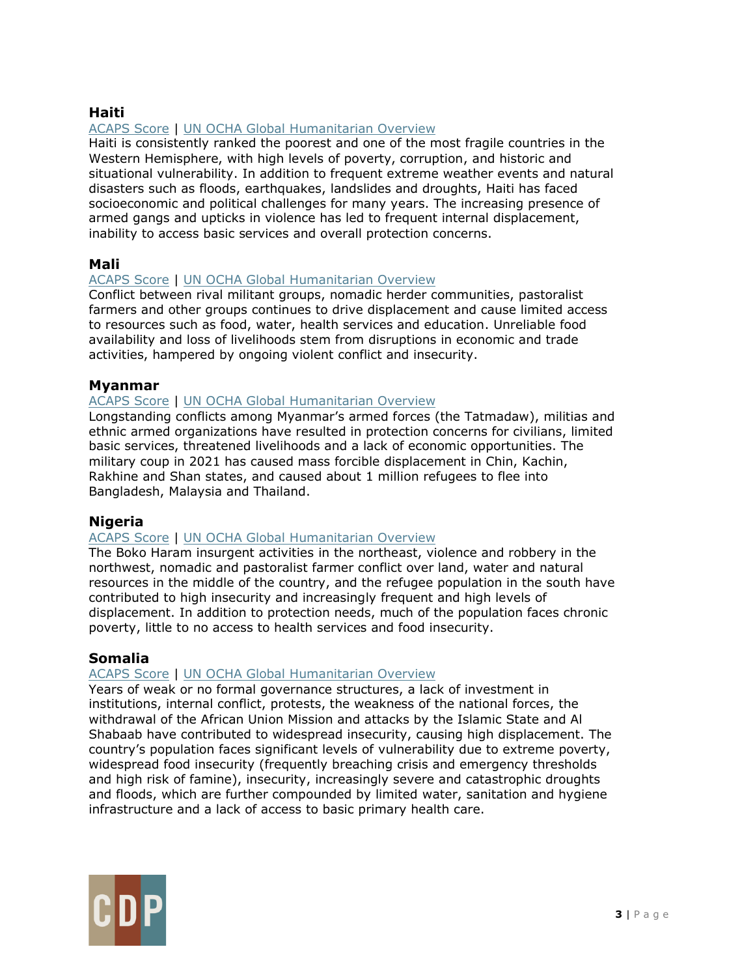# **Haiti**

# [ACAPS Score](https://www.acaps.org/country/haiti/crisis/complex-crisis) | [UN OCHA Global Humanitarian Overview](https://gho.unocha.org/haiti)

Haiti is consistently ranked the poorest and one of the most fragile countries in the Western Hemisphere, with high levels of poverty, corruption, and historic and situational vulnerability. In addition to frequent extreme weather events and natural disasters such as floods, earthquakes, landslides and droughts, Haiti has faced socioeconomic and political challenges for many years. The increasing presence of armed gangs and upticks in violence has led to frequent internal displacement, inability to access basic services and overall protection concerns.

# **Mali**

### [ACAPS Score](https://www.acaps.org/country/mali/crisis/complex-crisis) | [UN OCHA Global Humanitarian Overview](https://gho.unocha.org/mali)

Conflict between rival militant groups, nomadic herder communities, pastoralist farmers and other groups continues to drive displacement and cause limited access to resources such as food, water, health services and education. Unreliable food availability and loss of livelihoods stem from disruptions in economic and trade activities, hampered by ongoing violent conflict and insecurity.

### **Myanmar**

#### [ACAPS Score](https://www.acaps.org/country/myanmar/crisis/country-level) | [UN OCHA Global Humanitarian Overview](https://gho.unocha.org/myanmar)

Longstanding conflicts among Myanmar's armed forces (the Tatmadaw), militias and ethnic armed organizations have resulted in protection concerns for civilians, limited basic services, threatened livelihoods and a lack of economic opportunities. The military coup in 2021 has caused mass forcible displacement in Chin, Kachin, Rakhine and Shan states, and caused about 1 million refugees to flee into Bangladesh, Malaysia and Thailand.

### **Nigeria**

#### [ACAPS Score](https://www.acaps.org/country/nigeria/crisis/complex-crisis) | [UN OCHA Global Humanitarian Overview](https://gho.unocha.org/nigeria)

The Boko Haram insurgent activities in the northeast, violence and robbery in the northwest, nomadic and pastoralist farmer conflict over land, water and natural resources in the middle of the country, and the refugee population in the south have contributed to high insecurity and increasingly frequent and high levels of displacement. In addition to protection needs, much of the population faces chronic poverty, little to no access to health services and food insecurity.

### **Somalia**

### [ACAPS Score](https://www.acaps.org/country/somalia/crisis/complex-crisis) | [UN OCHA Global Humanitarian Overview](https://gho.unocha.org/somalia)

Years of weak or no formal governance structures, a lack of investment in institutions, internal conflict, protests, the weakness of the national forces, the withdrawal of the African Union Mission and attacks by the Islamic State and Al Shabaab have contributed to widespread insecurity, causing high displacement. The country's population faces significant levels of vulnerability due to extreme poverty, widespread food insecurity (frequently breaching crisis and emergency thresholds and high risk of famine), insecurity, increasingly severe and catastrophic droughts and floods, which are further compounded by limited water, sanitation and hygiene infrastructure and a lack of access to basic primary health care.